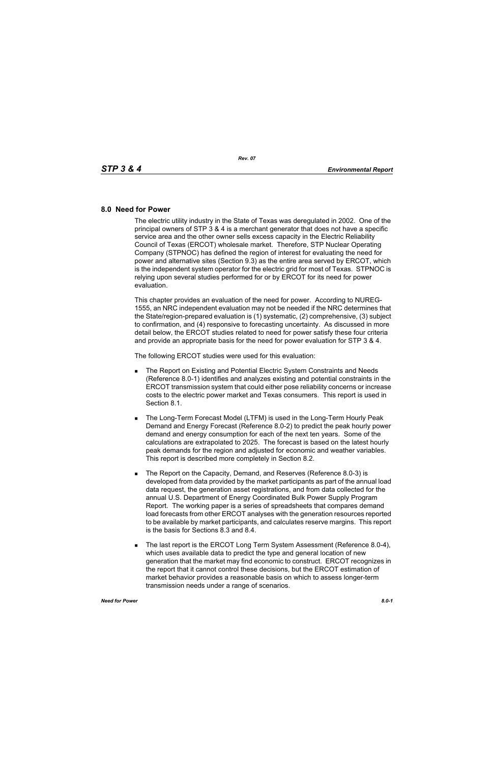## **8.0 Need for Power**

The electric utility industry in the State of Texas was deregulated in 2002. One of the principal owners of STP 3 & 4 is a merchant generator that does not have a specific service area and the other owner sells excess capacity in the Electric Reliability Council of Texas (ERCOT) wholesale market. Therefore, STP Nuclear Operating Company (STPNOC) has defined the region of interest for evaluating the need for power and alternative sites (Section 9.3) as the entire area served by ERCOT, which is the independent system operator for the electric grid for most of Texas. STPNOC is relying upon several studies performed for or by ERCOT for its need for power evaluation.

This chapter provides an evaluation of the need for power. According to NUREG-1555, an NRC independent evaluation may not be needed if the NRC determines that the State/region-prepared evaluation is (1) systematic, (2) comprehensive, (3) subject to confirmation, and (4) responsive to forecasting uncertainty. As discussed in more detail below, the ERCOT studies related to need for power satisfy these four criteria and provide an appropriate basis for the need for power evaluation for STP 3 & 4.

The following ERCOT studies were used for this evaluation:

- **The Report on Existing and Potential Electric System Constraints and Needs** (Reference 8.0-1) identifies and analyzes existing and potential constraints in the ERCOT transmission system that could either pose reliability concerns or increase costs to the electric power market and Texas consumers. This report is used in Section 8.1.
- **The Long-Term Forecast Model (LTFM) is used in the Long-Term Hourly Peak** Demand and Energy Forecast (Reference 8.0-2) to predict the peak hourly power demand and energy consumption for each of the next ten years. Some of the calculations are extrapolated to 2025. The forecast is based on the latest hourly peak demands for the region and adjusted for economic and weather variables. This report is described more completely in Section 8.2.
- The Report on the Capacity, Demand, and Reserves (Reference 8.0-3) is developed from data provided by the market participants as part of the annual load data request, the generation asset registrations, and from data collected for the annual U.S. Department of Energy Coordinated Bulk Power Supply Program Report. The working paper is a series of spreadsheets that compares demand load forecasts from other ERCOT analyses with the generation resources reported to be available by market participants, and calculates reserve margins. This report is the basis for Sections 8.3 and 8.4.
- The last report is the ERCOT Long Term System Assessment (Reference 8.0-4), which uses available data to predict the type and general location of new generation that the market may find economic to construct. ERCOT recognizes in the report that it cannot control these decisions, but the ERCOT estimation of market behavior provides a reasonable basis on which to assess longer-term transmission needs under a range of scenarios.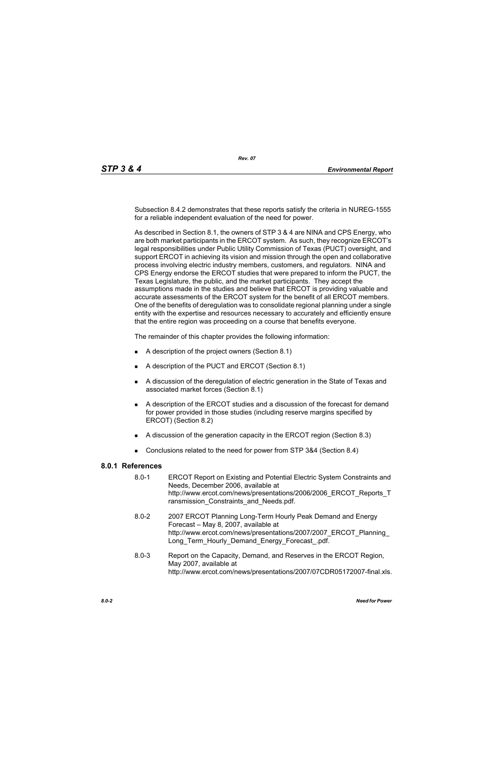Subsection 8.4.2 demonstrates that these reports satisfy the criteria in NUREG-1555 for a reliable independent evaluation of the need for power.

As described in Section 8.1, the owners of STP 3 & 4 are NINA and CPS Energy, who are both market participants in the ERCOT system. As such, they recognize ERCOT's legal responsibilities under Public Utility Commission of Texas (PUCT) oversight, and support ERCOT in achieving its vision and mission through the open and collaborative process involving electric industry members, customers, and regulators. NINA and CPS Energy endorse the ERCOT studies that were prepared to inform the PUCT, the Texas Legislature, the public, and the market participants. They accept the assumptions made in the studies and believe that ERCOT is providing valuable and accurate assessments of the ERCOT system for the benefit of all ERCOT members. One of the benefits of deregulation was to consolidate regional planning under a single entity with the expertise and resources necessary to accurately and efficiently ensure that the entire region was proceeding on a course that benefits everyone.

The remainder of this chapter provides the following information:

- A description of the project owners (Section 8.1)
- A description of the PUCT and ERCOT (Section 8.1)
- A discussion of the deregulation of electric generation in the State of Texas and associated market forces (Section 8.1)
- A description of the ERCOT studies and a discussion of the forecast for demand for power provided in those studies (including reserve margins specified by ERCOT) (Section 8.2)
- A discussion of the generation capacity in the ERCOT region (Section 8.3)
- Conclusions related to the need for power from STP 3&4 (Section 8.4)

## **8.0.1 References**

- 8.0-1 ERCOT Report on Existing and Potential Electric System Constraints and Needs, December 2006, available at http://www.ercot.com/news/presentations/2006/2006\_ERCOT\_Reports\_T ransmission Constraints and Needs.pdf.
- [8.0-2 2007 ERCOT Planning Long-Term Hourly Peak Demand and Energy](http://www.ercot.com/news/presentations/2007/2007_ERCOT_Planning_Long_Term_Hourly_Demand_Energy_Forecast_.pdf)  Forecast – May 8, 2007, available at http://www.ercot.com/news/presentations/2007/2007\_ERCOT\_Planning\_ Long\_Term\_Hourly\_Demand\_Energy\_Forecast\_.pdf.
- 8.0-3 Report on the Capacity, Demand, and Reserves in the ERCOT Region, May 2007, available at http://www.ercot.com/news/presentations/2007/07CDR05172007-final.xls.